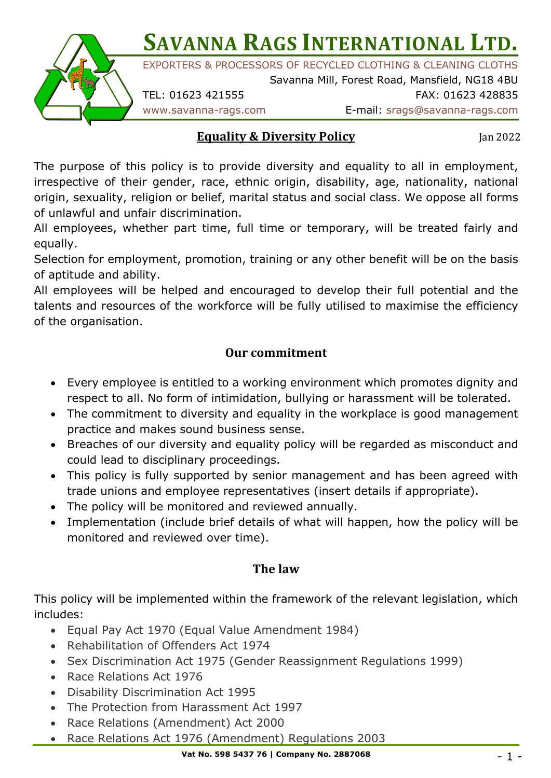**SAVANNA RAGS INTERNATIONAL LTD.** 



EXPORTERS & PROCESSORS OF RECYCLED CLOTHING & CLEANING CLOTHS

Savanna Mill, Forest Road, Mansfield, NG18 4BU TEL: 01623 421555 FAX: 01623 428835

www.savanna-rags.com E-mail: srags@savanna-rags.com

## **Equality & Diversity Policy**

Jan 2022

The purpose of this policy is to provide diversity and equality to all in employment, irrespective of their gender, race, ethnic origin, disability, age, nationality, national origin, sexuality, religion or belief, marital status and social class. We oppose all forms of unlawful and unfair discrimination.

All employees, whether part time, full time or temporary, will be treated fairly and equally.

Selection for employment, promotion, training or any other benefit will be on the basis of aptitude and ability.

All employees will be helped and encouraged to develop their full potential and the talents and resources of the workforce will be fully utilised to maximise the efficiency of the organisation.

## **Our commitment**

- Every employee is entitled to a working environment which promotes dignity and respect to all. No form of intimidation, bullying or harassment will be tolerated.
- The commitment to diversity and equality in the workplace is good management practice and makes sound business sense.
- Breaches of our diversity and equality policy will be regarded as misconduct and could lead to disciplinary proceedings.
- This policy is fully supported by senior management and has been agreed with trade unions and employee representatives (insert details if appropriate).
- The policy will be monitored and reviewed annually.
- Implementation (include brief details of what will happen, how the policy will be monitored and reviewed over time).

## **The law**

This policy will be implemented within the framework of the relevant legislation, which includes:

- Equal Pay Act 1970 (Equal Value Amendment 1984)
- Rehabilitation of Offenders Act 1974
- Sex Discrimination Act 1975 (Gender Reassignment Regulations 1999)
- Race Relations Act 1976
- Disability Discrimination Act 1995
- The Protection from Harassment Act 1997
- Race Relations (Amendment) Act 2000
- Race Relations Act 1976 (Amendment) Regulations 2003